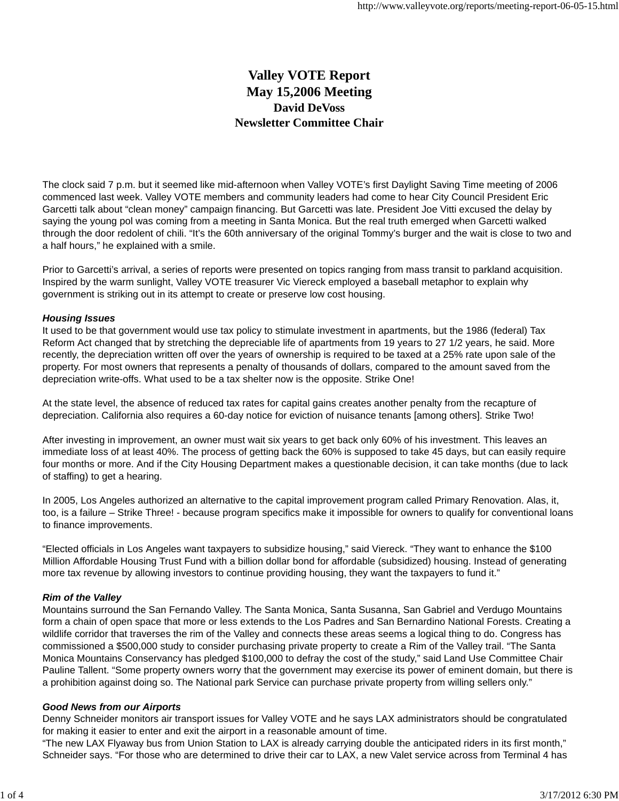# **Valley VOTE Report May 15,2006 Meeting David DeVoss Newsletter Committee Chair**

The clock said 7 p.m. but it seemed like mid-afternoon when Valley VOTE's first Daylight Saving Time meeting of 2006 commenced last week. Valley VOTE members and community leaders had come to hear City Council President Eric Garcetti talk about "clean money" campaign financing. But Garcetti was late. President Joe Vitti excused the delay by saying the young pol was coming from a meeting in Santa Monica. But the real truth emerged when Garcetti walked through the door redolent of chili. "It's the 60th anniversary of the original Tommy's burger and the wait is close to two and a half hours," he explained with a smile.

Prior to Garcetti's arrival, a series of reports were presented on topics ranging from mass transit to parkland acquisition. Inspired by the warm sunlight, Valley VOTE treasurer Vic Viereck employed a baseball metaphor to explain why government is striking out in its attempt to create or preserve low cost housing.

#### *Housing Issues*

It used to be that government would use tax policy to stimulate investment in apartments, but the 1986 (federal) Tax Reform Act changed that by stretching the depreciable life of apartments from 19 years to 27 1/2 years, he said. More recently, the depreciation written off over the years of ownership is required to be taxed at a 25% rate upon sale of the property. For most owners that represents a penalty of thousands of dollars, compared to the amount saved from the depreciation write-offs. What used to be a tax shelter now is the opposite. Strike One!

At the state level, the absence of reduced tax rates for capital gains creates another penalty from the recapture of depreciation. California also requires a 60-day notice for eviction of nuisance tenants [among others]. Strike Two!

After investing in improvement, an owner must wait six years to get back only 60% of his investment. This leaves an immediate loss of at least 40%. The process of getting back the 60% is supposed to take 45 days, but can easily require four months or more. And if the City Housing Department makes a questionable decision, it can take months (due to lack of staffing) to get a hearing.

In 2005, Los Angeles authorized an alternative to the capital improvement program called Primary Renovation. Alas, it, too, is a failure – Strike Three! - because program specifics make it impossible for owners to qualify for conventional loans to finance improvements.

"Elected officials in Los Angeles want taxpayers to subsidize housing," said Viereck. "They want to enhance the \$100 Million Affordable Housing Trust Fund with a billion dollar bond for affordable (subsidized) housing. Instead of generating more tax revenue by allowing investors to continue providing housing, they want the taxpayers to fund it."

#### *Rim of the Valley*

Mountains surround the San Fernando Valley. The Santa Monica, Santa Susanna, San Gabriel and Verdugo Mountains form a chain of open space that more or less extends to the Los Padres and San Bernardino National Forests. Creating a wildlife corridor that traverses the rim of the Valley and connects these areas seems a logical thing to do. Congress has commissioned a \$500,000 study to consider purchasing private property to create a Rim of the Valley trail. "The Santa Monica Mountains Conservancy has pledged \$100,000 to defray the cost of the study," said Land Use Committee Chair Pauline Tallent. "Some property owners worry that the government may exercise its power of eminent domain, but there is a prohibition against doing so. The National park Service can purchase private property from willing sellers only."

#### *Good News from our Airports*

Denny Schneider monitors air transport issues for Valley VOTE and he says LAX administrators should be congratulated for making it easier to enter and exit the airport in a reasonable amount of time.

"The new LAX Flyaway bus from Union Station to LAX is already carrying double the anticipated riders in its first month," Schneider says. "For those who are determined to drive their car to LAX, a new Valet service across from Terminal 4 has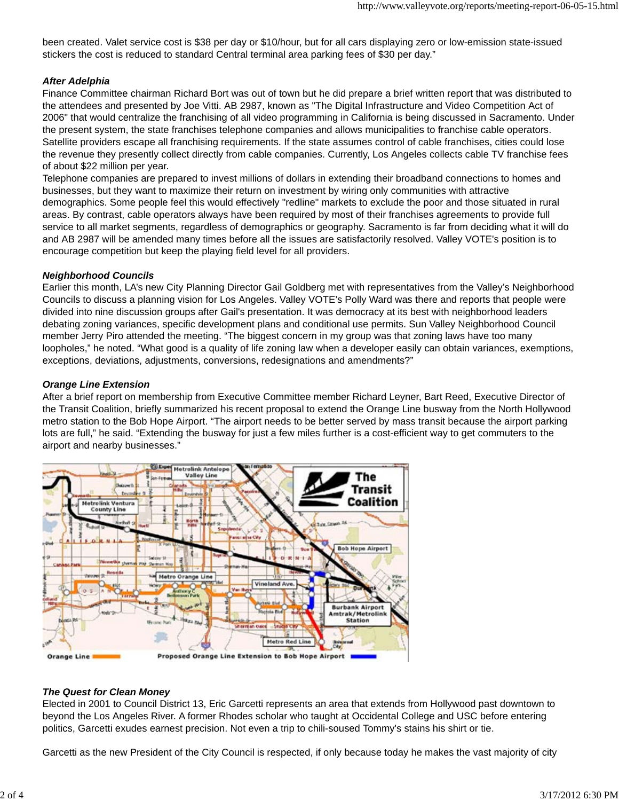been created. Valet service cost is \$38 per day or \$10/hour, but for all cars displaying zero or low-emission state-issued stickers the cost is reduced to standard Central terminal area parking fees of \$30 per day."

## *After Adelphia*

Finance Committee chairman Richard Bort was out of town but he did prepare a brief written report that was distributed to the attendees and presented by Joe Vitti. AB 2987, known as "The Digital Infrastructure and Video Competition Act of 2006" that would centralize the franchising of all video programming in California is being discussed in Sacramento. Under the present system, the state franchises telephone companies and allows municipalities to franchise cable operators. Satellite providers escape all franchising requirements. If the state assumes control of cable franchises, cities could lose the revenue they presently collect directly from cable companies. Currently, Los Angeles collects cable TV franchise fees of about \$22 million per year.

Telephone companies are prepared to invest millions of dollars in extending their broadband connections to homes and businesses, but they want to maximize their return on investment by wiring only communities with attractive demographics. Some people feel this would effectively "redline" markets to exclude the poor and those situated in rural areas. By contrast, cable operators always have been required by most of their franchises agreements to provide full service to all market segments, regardless of demographics or geography. Sacramento is far from deciding what it will do and AB 2987 will be amended many times before all the issues are satisfactorily resolved. Valley VOTE's position is to encourage competition but keep the playing field level for all providers.

#### *Neighborhood Councils*

Earlier this month, LA's new City Planning Director Gail Goldberg met with representatives from the Valley's Neighborhood Councils to discuss a planning vision for Los Angeles. Valley VOTE's Polly Ward was there and reports that people were divided into nine discussion groups after Gail's presentation. It was democracy at its best with neighborhood leaders debating zoning variances, specific development plans and conditional use permits. Sun Valley Neighborhood Council member Jerry Piro attended the meeting. "The biggest concern in my group was that zoning laws have too many loopholes," he noted. "What good is a quality of life zoning law when a developer easily can obtain variances, exemptions, exceptions, deviations, adjustments, conversions, redesignations and amendments?"

## *Orange Line Extension*

After a brief report on membership from Executive Committee member Richard Leyner, Bart Reed, Executive Director of the Transit Coalition, briefly summarized his recent proposal to extend the Orange Line busway from the North Hollywood metro station to the Bob Hope Airport. "The airport needs to be better served by mass transit because the airport parking lots are full," he said. "Extending the busway for just a few miles further is a cost-efficient way to get commuters to the airport and nearby businesses."



## *The Quest for Clean Money*

Elected in 2001 to Council District 13, Eric Garcetti represents an area that extends from Hollywood past downtown to beyond the Los Angeles River. A former Rhodes scholar who taught at Occidental College and USC before entering politics, Garcetti exudes earnest precision. Not even a trip to chili-soused Tommy's stains his shirt or tie.

Garcetti as the new President of the City Council is respected, if only because today he makes the vast majority of city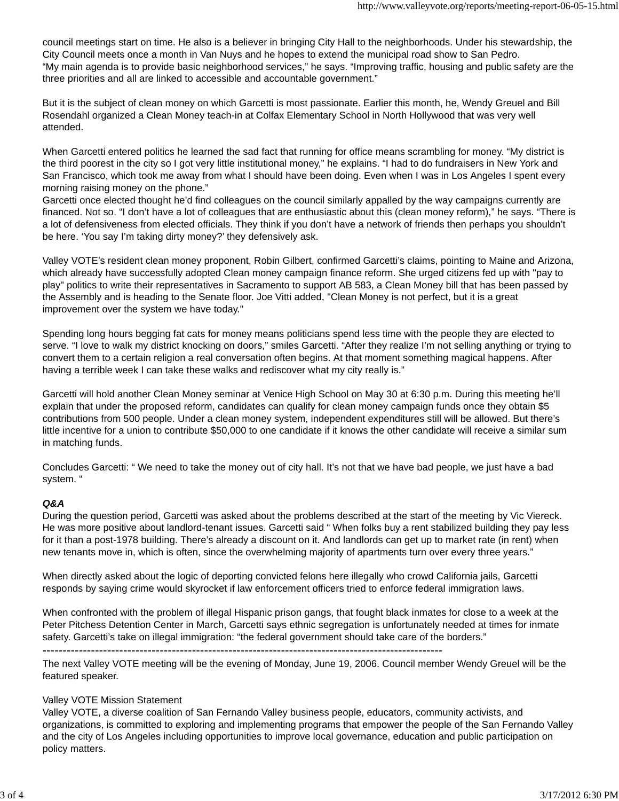council meetings start on time. He also is a believer in bringing City Hall to the neighborhoods. Under his stewardship, the City Council meets once a month in Van Nuys and he hopes to extend the municipal road show to San Pedro. "My main agenda is to provide basic neighborhood services," he says. "Improving traffic, housing and public safety are the three priorities and all are linked to accessible and accountable government."

But it is the subject of clean money on which Garcetti is most passionate. Earlier this month, he, Wendy Greuel and Bill Rosendahl organized a Clean Money teach-in at Colfax Elementary School in North Hollywood that was very well attended.

When Garcetti entered politics he learned the sad fact that running for office means scrambling for money. "My district is the third poorest in the city so I got very little institutional money," he explains. "I had to do fundraisers in New York and San Francisco, which took me away from what I should have been doing. Even when I was in Los Angeles I spent every morning raising money on the phone."

Garcetti once elected thought he'd find colleagues on the council similarly appalled by the way campaigns currently are financed. Not so. "I don't have a lot of colleagues that are enthusiastic about this (clean money reform)," he says. "There is a lot of defensiveness from elected officials. They think if you don't have a network of friends then perhaps you shouldn't be here. 'You say I'm taking dirty money?' they defensively ask.

Valley VOTE's resident clean money proponent, Robin Gilbert, confirmed Garcetti's claims, pointing to Maine and Arizona, which already have successfully adopted Clean money campaign finance reform. She urged citizens fed up with "pay to play" politics to write their representatives in Sacramento to support AB 583, a Clean Money bill that has been passed by the Assembly and is heading to the Senate floor. Joe Vitti added, "Clean Money is not perfect, but it is a great improvement over the system we have today."

Spending long hours begging fat cats for money means politicians spend less time with the people they are elected to serve. "I love to walk my district knocking on doors," smiles Garcetti. "After they realize I'm not selling anything or trying to convert them to a certain religion a real conversation often begins. At that moment something magical happens. After having a terrible week I can take these walks and rediscover what my city really is."

Garcetti will hold another Clean Money seminar at Venice High School on May 30 at 6:30 p.m. During this meeting he'll explain that under the proposed reform, candidates can qualify for clean money campaign funds once they obtain \$5 contributions from 500 people. Under a clean money system, independent expenditures still will be allowed. But there's little incentive for a union to contribute \$50,000 to one candidate if it knows the other candidate will receive a similar sum in matching funds.

Concludes Garcetti: " We need to take the money out of city hall. It's not that we have bad people, we just have a bad system. "

#### *Q&A*

During the question period, Garcetti was asked about the problems described at the start of the meeting by Vic Viereck. He was more positive about landlord-tenant issues. Garcetti said " When folks buy a rent stabilized building they pay less for it than a post-1978 building. There's already a discount on it. And landlords can get up to market rate (in rent) when new tenants move in, which is often, since the overwhelming majority of apartments turn over every three years."

When directly asked about the logic of deporting convicted felons here illegally who crowd California jails, Garcetti responds by saying crime would skyrocket if law enforcement officers tried to enforce federal immigration laws.

When confronted with the problem of illegal Hispanic prison gangs, that fought black inmates for close to a week at the Peter Pitchess Detention Center in March, Garcetti says ethnic segregation is unfortunately needed at times for inmate safety. Garcetti's take on illegal immigration: "the federal government should take care of the borders."

---------------------------------------------------------------------------------------------------

The next Valley VOTE meeting will be the evening of Monday, June 19, 2006. Council member Wendy Greuel will be the featured speaker.

## Valley VOTE Mission Statement

Valley VOTE, a diverse coalition of San Fernando Valley business people, educators, community activists, and organizations, is committed to exploring and implementing programs that empower the people of the San Fernando Valley and the city of Los Angeles including opportunities to improve local governance, education and public participation on policy matters.